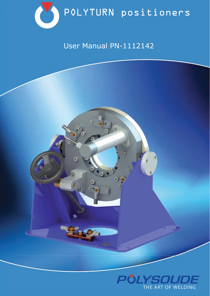

# User Manual PN-1112142

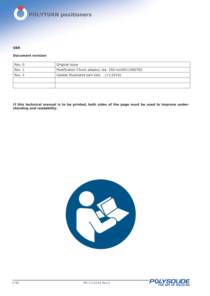

### **SBR**

#### **Document revision**

| Rev. 0 | Original issue                                    |
|--------|---------------------------------------------------|
| Rev. 1 | Modification Chuck adaptor, dia. 250 mm0011560702 |
| Rev. 2 | Update Illustrated part lists (11/2016)           |
|        |                                                   |
|        |                                                   |

**If this technical manual is to be printed, both sides of the page must be used to improve understanding and readability.**



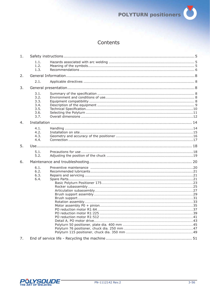

# Contents

| 1. |                                                      |  |
|----|------------------------------------------------------|--|
|    | 1.1.<br>1.2.<br>1.3.                                 |  |
| 2. |                                                      |  |
|    | 2.1.                                                 |  |
| 3. |                                                      |  |
|    | 3.1.<br>3.2.<br>3.3.<br>3.4.<br>3.5.<br>3.6.<br>3.7. |  |
| 4. |                                                      |  |
|    | 4.1.<br>4.2.<br>4.3.<br>4.4.                         |  |
| 5. |                                                      |  |
|    | 5.1.<br>5.2.                                         |  |
| 6. |                                                      |  |
|    | 6.1.<br>6.2.<br>6.3.<br>6.4.                         |  |
| 7. |                                                      |  |

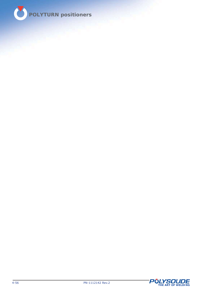

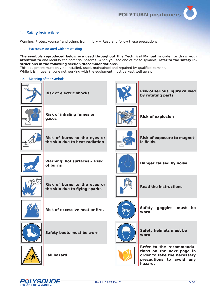

# 1. Safety instructions

Warning: Protect yourself and others from injury − Read and follow these precautions.

### 1.1. Hazards associated with arc welding

**The symbols reproduced below are used throughout this Technical Manual in order to draw your attention to** and identify the potential hazards. When you see one of these symbols, **refer to the safety instructions in the following section 'Recommendations'.**

This equipment must only be installed, used, maintained and repaired by qualified persons. While it is in use, anyone not working with the equipment must be kept well away.

### 1.2. Meaning of the symbols

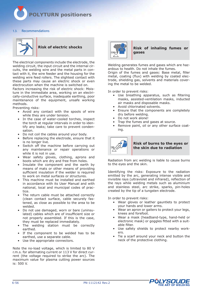

#### 1.3. Recommendations



The electrical components include the electrode, the welding circuit, the input circuit and the internal circuits, the welding wire and the metal parts in contact with it, the wire feeder and the housing for the welding wire feed rollers. The slightest contact with these parts may cause an electric shock or even electrocution when the machine is switched on.

Factors increasing the risk of electric shock: Moisture in the immediate area, working on an electrically-conductive surface, inadequate earthing, poor maintenance of the equipment, unsafe working methods.

Preventing risks:

- Avoid any contact with the spools of wire while they are under tension.
- In the case of water-cooled torches, inspect the torch at regular intervals in order to identify any leaks; take care to prevent condensation.
- Do not coil the cables around your body.
- Before replacing the electrode, ensure that it is no longer live.
- Switch off the machine before carrying out any maintenance or repair operations or while it is not in use.
- Wear safety gloves, clothing, aprons and boots which are dry and free from holes.
- Insulate the component and the earth by means of mats or other means of providing sufficient insulation if the welder is required to work on metal surfaces or structures.
- This machine must be installed and earthed in accordance with its User Manual and with national, local and municipal codes of practice.
- The return cable must be attached correctly (clean contact surface, cable securely fastened, as close as possible to the area to be welded.
- Do not use damaged, worn or bare (uninsulated) cables which are of insufficient size or not properly assembled. If this is the case, they must be replaced immediately.
- The welding station must be correctly earthed.
- If the component to be welded has to be earthed, use a separate cable.
- Use the appropriate connectors.

Note the no-load voltage, which is limited to 80 V r.m.s. for alternating current or 113 V for direct current (the voltage required to strike the arc). The maximum value for plasma cutting power sources is: 500 V.



**Risk of inhaling fumes or gases**

Welding generates fumes and gases which are hazardous to health. Do not inhale the fumes.

Origin of the fumes and gases: Base metal, filler metal, coating (flux) with welding by coated electrode, shielding gas, solvents and materials covering the metal to be welded.

In order to prevent risks:

- Use breathing apparatus, such as filtering masks, assisted-ventilation masks, inducted air masks and disposable masks.
- Avoid chlorinated solvents.
- Ensure that the components are completely dry before welding.
- Do not work alone!
- Trap the fumes and gases at source.
- Remove paint, oil or any other surface coating.



### **Risk of burns to the eyes or the skin due to radiation**

Radiation from arc welding is liable to cause burns to the eyes and the skin.

Identifying the risks: Exposure to the radiation emitted by the arc, generating intense visible and invisible rays (ultraviolet and infrared), reflection of the rays while welding metals such as aluminium and stainless steel, arc strike, sparks, pin-holes created by the tip of a tungsten electrode.

In order to prevent risks:

- Wear gloves or leather gauntlets to protect your hands and lower arms.
- Wear an apron or gaiters to protect your legs, knees and forefoot.
- Wear a mask (headband-type, hand-held or electronic mask) or goggles fitted with a suitable filter.
- Use safety shields to protect nearby workers.
- Tie a scarf around your neck and button the neck of the protective clothing.

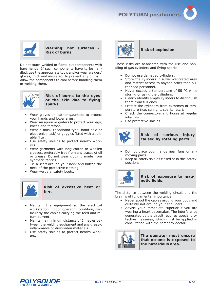



**Warning: hot surfaces Risk of burns**

Do not touch welded or flame-cut components with bare hands. If such components have to be handled, use the appropriate tools and/or wear welders' gloves, thick and insulated, to prevent any burns. Allow the components to cool before handling them or welding them.



**Risk of burns to the eyes or the skin due to fl ying sparks**

- Wear gloves or leather gauntlets to protect your hands and lower arms.
- Wear an apron or gaiters to protect your legs, knees and forefoot.
- Wear a mask (headband-type, hand-held or electronic mask) or goggles fitted with a suitable filter.
- Use safety shields to protect nearby workers.
- Wear garments with long cotton or woollen sleeves, preferably free from any traces of oil or grease. Do not wear clothing made from synthetic fabrics.
- Tie a scarf around your neck and button the neck of the protective clothing.
- Wear welders' safety boots.



**Risk of excessive heat or fi re.**

- Maintain the equipment at the electrical workstation in good operating condition, particularly the cables carrying the feed and return current.
- Maintain a minimum distance of 6 metres between the welding equipment and any greasy, inflammable or dust-laden materials.
- Use safety shields to protect nearby workers.



#### **Risk of explosion**

These risks are associated with the use and handling of gas cylinders and flying sparks.

- Do not use damaged cylinders.
- Store the cylinders in a well-ventilated area and restrict access to anyone other than authorised personnel.
- Never exceed a temperature of 55 °C while storing or using the cylinders.
- Clearly identify empty cylinders to distinguish them from full ones.
- Protect the cylinders from extremes of temperature (ice, sunlight, sparks, etc.).
- Check the connectors and hoses at regular intervals.
- Use protective shields.



**Risk of serious injury caused by rotating parts**

- Do not place your hands near fans or any moving parts.
- Keep all safety shields closed or in the 'safety' position.



### **Risk of exposure to magnetic fields.**

The distance between the welding circuit and the brain is of fundamental importance.

- Never spool the cables around your body and certainly not around your shoulders.
- Advise your immediate superior if you are wearing a heart pacemaker. The interference generated by the circuit requires special protective measures, which must be applied in consultation with the company doctor.



**The operator must ensure that no-one is exposed to the hazardous area.**

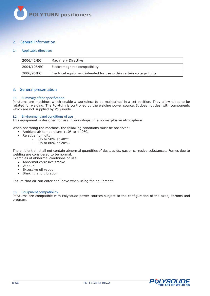

## 2. General Information

#### 2.1. Applicable directives

| 2006/42/EC  | Machinery Directive                                                 |
|-------------|---------------------------------------------------------------------|
| 2004/108/EC | Electromagnetic compatibility                                       |
| 2006/95/EC  | Electrical equipment intended for use within certain voltage limits |

### 3. General presentation

#### 3.1. Summary of the specification

Polyturns are machines which enable a workpiece to be maintained in a set position. They allow tubes to be rotated for welding. The Polyturn is controlled by the welding power source. It does not deal with components which are not supplied by Polysoude.

#### 3.2. Environment and conditions of use

This equipment is designed for use in workshops, in a non-explosive atmosphere.

When operating the machine, the following conditions must be observed:

- Ambient air temperature  $+10^{\circ}$  to  $+40^{\circ}$ C.
- Relative humidity:
	- Up to  $50\%$  at  $40^{\circ}$ C.
	- Up to  $80\%$  at  $20^{\circ}$ C.

The ambient air shall not contain abnormal quantities of dust, acids, gas or corrosive substances. Fumes due to welding are considered to be normal.

Examples of abnormal conditions of use:

- Abnormal corrosive smoke.
- Vapour.
- Excessive oil vapour.
- Shaking and vibration.

Ensure that air can enter and leave when using the equipment.

#### 3.3. Equipment compatibility

Polyturns are compatible with Polysoude power sources subject to the configuration of the axes, Eproms and program.

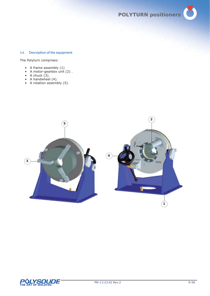



## 3.4. Description of the equipment

The Polyturn comprises:

- A frame assembly (1)
- A motor-gearbox unit (2) .
- A chuck  $(3)$ .
- A handwheel (4).
- A rotation assembly  $(5)$ .



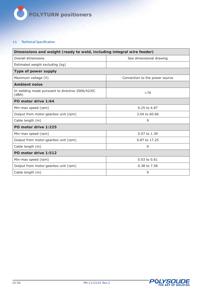

## 3.5. Technical Specification

| Dimensions and weight (ready to weld, including integral wire feeder) |                                |  |  |
|-----------------------------------------------------------------------|--------------------------------|--|--|
| Overall dimensions<br>See dimensional drawing                         |                                |  |  |
| Estimated weight excluding (kg)                                       |                                |  |  |
| Type of power supply                                                  |                                |  |  |
| Maximum voltage (V)                                                   | Connection to the power source |  |  |
| <b>Ambient noise</b>                                                  |                                |  |  |
| In welding mode pursuant to directive 2006/42/EC<br>(dBA)             | < 70                           |  |  |
| PO motor drive 1:64                                                   |                                |  |  |
| Min-max speed (rpm)                                                   | 0.25 to 4.87                   |  |  |
| Output from motor-gearbox unit (rpm)                                  | 3.04 to 60.66                  |  |  |
| Cable length (m)                                                      | 9                              |  |  |
| PO motor drive 1:225                                                  |                                |  |  |
| Min-max speed (rpm)                                                   | 0.07 to 1.39                   |  |  |
| Output from motor-gearbox unit (rpm)                                  | 0.87 to 17.25                  |  |  |
| Cable length (m)                                                      | 9                              |  |  |
| PO motor drive 1:512                                                  |                                |  |  |
| Min-max speed (rpm)                                                   | $0.03$ to $0.61$               |  |  |
| Output from motor-gearbox unit (rpm)                                  | 0.38 to 7.58                   |  |  |
| Cable length (m)                                                      | 9                              |  |  |

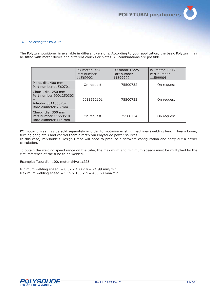

#### 3.6. Selecting the Polyturn

The Polyturn positioner is available in different versions. According to your application, the basic Polyturn may be fitted with motor drives and different chucks or plates. All combinations are possible.

|                                                                                                | PO motor 1:64<br>Part number<br>11569903 | PO motor 1:225<br>Part number<br>11599900 | PO motor 1:512<br>Part number<br>11599904 |
|------------------------------------------------------------------------------------------------|------------------------------------------|-------------------------------------------|-------------------------------------------|
| Plate, dia. 400 mm<br>Part number 11560701                                                     | On request                               | 75500732                                  | On request                                |
| Chuck, dia. 250 mm<br>Part number 9001250303<br>+<br>Adaptor 0011560702<br>Bore diameter 76 mm | 0011562101                               | 75500733                                  | On request                                |
| Chuck, dia. 350 mm<br>Part number 11560610<br>Bore diameter 114 mm                             | On request                               | 75500734                                  | On request                                |

PO motor drives may be sold separately in order to motorise existing machines (welding bench, beam boom, turning gear, etc.) and control them directly via Polysoude power sources. In this case, Polysoude's Design Office will need to produce a software configuration and carry out a power calculation.

To obtain the welding speed range on the tube, the maximum and minimum speeds must be multiplied by the circumference of the tube to be welded.

Example: Tube dia. 100, motor drive 1:225

Minimum welding speed =  $0.07 \times 100 \times \pi = 21.99 \text{ mm/min}$ Maximum welding speed =  $1.39 \times 100 \times \pi$  = 436.68 mm/min

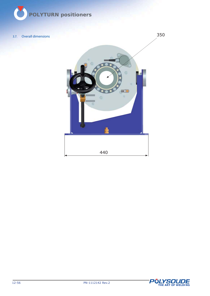

3.7. Overall dimensions



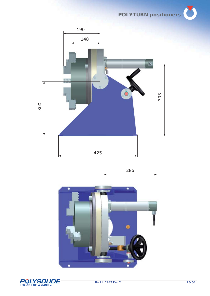





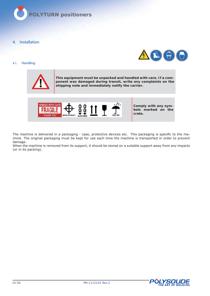

## 4. Installation



### 4.1. Handling



**This equipment must be unpacked and handled with care. If a component was damaged during transit, write any complaints on the shipping note and immediately notify the carrier.**



**Comply with any symbols marked on the crate.**

The machine is delivered in a packaging - case, protective devices etc. This packaging is specific to the machine. The original packaging must be kept for use each time the machine is transported in order to prevent damage.

When the machine is removed from its support, it should be stored on a suitable support away from any impacts (or in its packing).

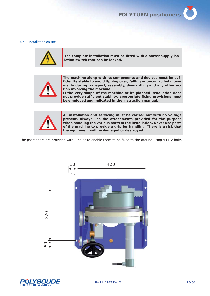

#### 4.2. Installation on site



The complete installation must be fitted with a power supply iso**lation switch that can be locked.** 



**The machine along with its components and devices must be suf**ficiently stable to avoid tipping over, falling or uncontrolled move**ments during transport, assembly, dismantling and any other action involving the machine.**

**If the very shape of the machine or its planned installation does not provide suffi cient stability, appropriate fi xing provisions must be employed and indicated in the instruction manual.**



**All installation and servicing must be carried out with no voltage present. Always use the attachments provided for the purpose when handling the various parts of the installation. Never use parts of the machine to provide a grip for handling. There is a risk that the equipment will be damaged or destroyed.**

The positioners are provided with 4 holes to enable them to be fixed to the ground using 4 M12 bolts.



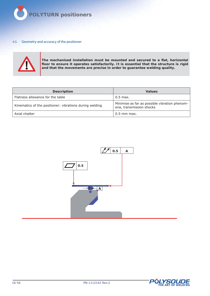

### 4.3. Geometry and accuracy of the positioner



The mechanised installation must be mounted and secured to a flat, horizontal **fl oor to ensure it operates satisfactorily. It is essential that the structure is rigid and that the movements are precise in order to guarantee welding quality.**

| <b>Description</b>                                      | <b>Values</b>                                                             |
|---------------------------------------------------------|---------------------------------------------------------------------------|
| Flatness allowance for the table                        | $0.5$ max.                                                                |
| Kinematics of the positioner: vibrations during welding | Minimise as far as possible vibration phenom-<br>ena, transmission shocks |
| Axial chatter                                           | $0.5$ mm max.                                                             |



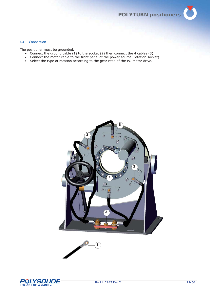

#### 4.4. Connection

The positioner must be grounded.

- Connect the ground cable (1) to the socket (2) then connect the 4 cables (3).
- Connect the motor cable to the front panel of the power source (rotation socket).
- Select the type of rotation according to the gear ratio of the PO motor drive.





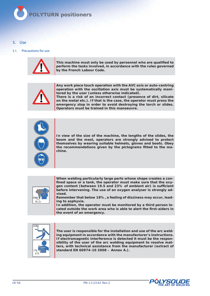

### 5. Use

#### 5.1. Precautions for use



This machine must only be used by personnel who are qualified to **perform the tasks involved, in accordance with the rules governed by the French Labour Code.**



**Any work piece touch operation with the AVC axis or auto-centring operation with the oscillation axis must be systematically monitored by the user (unless otherwise indicated).** 

**There is a risk of an incorrect contact (presence of dirt, silicate on the metal etc.). If that is the case, the operator must press the emergency stop in order to avoid destroying the torch or slides. Operators must be trained in this manoeuvre.**



**In view of the size of the machine, the lengths of the slides, the boom and the mast, operators are strongly advised to protect themselves by wearing suitable helmets, gloves and boots. Obey**  the recommendations given by the pictograms fitted to the ma**chine.**



**When welding particularly large parts whose shape creates a con**fined space or a tank, the operator must make sure that the oxy**gen content (between 19.5 and 23% of ambient air) is suffi cient before intervening. The use of an oxygen analyser is strongly advised.**

**Remember that below 18%, a feeling of dizziness may occur, leading to asphyxia.** 

**In addition, the operator must be monitored by a third person lo**cated outside the work area who is able to alert the first-aiders in **the event of an emergency.**



**The user is responsible for the installation and use of the arc welding equipment in accordance with the manufacturer's instructions. If electromagnetic interference is detected it must be the responsibility of the user of the arc welding equipment to resolve matters, with technical assistance from the manufacturer (extract of standard EN 60974-10 2008 – Annex A.).**

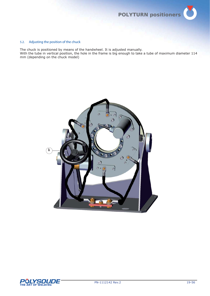## 5.2. Adjusting the position of the chuck

The chuck is positioned by means of the handwheel. It is adjusted manually. With the tube in vertical position, the hole in the frame is big enough to take a tube of maximum diameter 114 mm (depending on the chuck model)



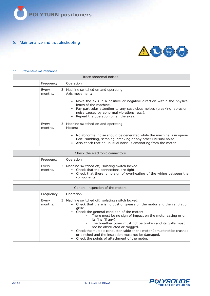

# 6. Maintenance and troubleshooting



#### 6.1. Preventive maintenance

| Trace abnormal noises |                  |                                                                                                                                                                                                                                                                         |
|-----------------------|------------------|-------------------------------------------------------------------------------------------------------------------------------------------------------------------------------------------------------------------------------------------------------------------------|
|                       | Frequency        | Operation                                                                                                                                                                                                                                                               |
|                       | Every<br>months. | 3   Machine switched on and operating.<br>Axis movement:                                                                                                                                                                                                                |
|                       |                  | • Move the axis in a positive or negative direction within the physical<br>limits of the machine.<br>• Pay particular attention to any suspicious noises (creaking, abrasion,<br>noise caused by abnormal vibrations, etc.).<br>• Repeat the operation on all the axes. |
|                       | Every<br>months. | 3   Machine switched on and operating.<br>Motors:                                                                                                                                                                                                                       |
|                       |                  | No abnormal noise should be generated while the machine is in opera-<br>tion: rumbling, scraping, creaking or any other unusual noise.<br>• Also check that no unusual noise is emanating from the motor.                                                               |

| Check the electronic connectors |                  |                                                                                                                                                                                        |  |
|---------------------------------|------------------|----------------------------------------------------------------------------------------------------------------------------------------------------------------------------------------|--|
|                                 | Frequency        | Operation                                                                                                                                                                              |  |
|                                 | Every<br>months. | 3   Machine switched off, isolating switch locked.<br>• Check that the connections are tight.<br>• Check that there is no sign of overheating of the wiring between the<br>components. |  |

| General inspection of the motors |                  |                                                                                                                                                                                                                                                                                                                                                                                                                                                                                                                                                                         |
|----------------------------------|------------------|-------------------------------------------------------------------------------------------------------------------------------------------------------------------------------------------------------------------------------------------------------------------------------------------------------------------------------------------------------------------------------------------------------------------------------------------------------------------------------------------------------------------------------------------------------------------------|
|                                  | Frequency        | Operation                                                                                                                                                                                                                                                                                                                                                                                                                                                                                                                                                               |
|                                  | Every<br>months. | 3   Machine switched off, isolating switch locked.<br>Check that there is no dust or grease on the motor and the ventilation<br>$\bullet$<br>grille.<br>• Check the general condition of the motor:<br>There must be no sign of impact on the motor casing or on<br>its fins (if any).<br>The breather cover must not be broken and its grille must<br>not be obstructed or clogged.<br>• Check the multiple conductor cable on the motor. It must not be crushed<br>or pinched and the insulation must not be damaged.<br>Check the points of attachment of the motor. |

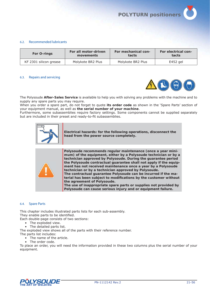

#### 6.2. Recommended lubricants

| For O-rings            | For all motor-driven | For mechanical con- | For electrical con- |
|------------------------|----------------------|---------------------|---------------------|
|                        | movements            | tacts               | tacts               |
| KF 2301 silicon grease | Molykote BR2 Plus    | Molykote BR2 Plus   | E452 gel            |

#### 6.3. Repairs and servicing



The Polysoude **After-Sales Service** is available to help you with solving any problems with the machine and to supply any spare parts you may require.

When you order a spare part, do not forget to quote **its order code** as shown in the 'Spare Parts' section of your equipment manual, as well as **the serial number of your machine**.

Furthermore, some subassemblies require factory settings. Some components cannot be supplied separately but are included in their preset and ready-to-fit subassemblies.



**Electrical hazards: for the following operations, disconnect the head from the power source completely.** 



#### 6.4. Spare Parts

This chapter includes illustrated parts lists for each sub-assembly. They enable parts to be identified.

Each double-page consists of two sections:

- The exploded view.
- The detailed parts list.

The exploded view shows all of the parts with their reference number. The parts list includes:

- The name of the article.
- The order code.

To place an order, you will need the information provided in these two columns plus the serial number of your equipment.

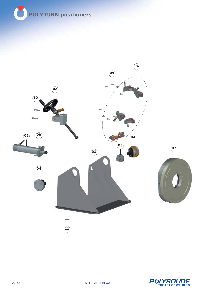



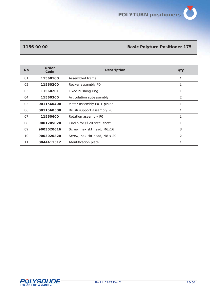

# **1156 00 00 Basic Polyturn Positioner 175**

| <b>No</b> | <b>Order</b><br>Code | <b>Description</b>            | <b>Qty</b> |
|-----------|----------------------|-------------------------------|------------|
| 01        | 11560100             | Assembled frame               | 1          |
| 02        | 11560200             | Rocker assembly P0            | 1          |
| 03        | 11560201             | Fixed bushing ring            | 1          |
| 04        | 11560300             | Articulation subassembly      | 2          |
| 05        | 0011560400           | Motor assembly $P0 + p$ inion | 1          |
| 06        | 0011560500           | Brush support assembly P0     | 1          |
| 07        | 11560600             | Rotation assembly P0          | 1          |
| 08        | 9001205020           | Circlip for Ø 20 steel shaft  | 1          |
| 09        | 9003020616           | Screw, hex skt head, M6x16    | 8          |
| 10        | 9003020820           | Screw, hex skt head, M8 x 20  | 2          |
| 11        | 0044411512           | Identification plate          | 1          |

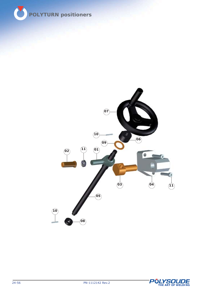



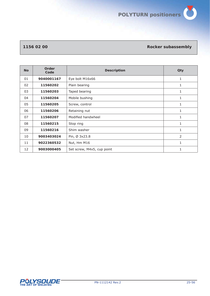

# **1156 02 00**

# **Rocker subassembly**

| <b>No</b> | Order<br>Code | <b>Description</b>         | <b>Qty</b>   |
|-----------|---------------|----------------------------|--------------|
| 01        | 9040001167    | Eye bolt M16x66            | 1            |
| 02        | 11560202      | Plain bearing              | 1            |
| 03        | 11560203      | Taped bearing              | 1            |
| 04        | 11560204      | Mobile bushing             | $\mathbf{1}$ |
| 05        | 11560205      | Screw, control             | 1            |
| 06        | 11560206      | Retaining nut              | $\mathbf{1}$ |
| 07        | 11560207      | Modified handwheel         | $\mathbf{1}$ |
| 08        | 11560215      | Stop ring                  | $\mathbf{1}$ |
| 09        | 11560216      | Shim washer                | $\mathbf{1}$ |
| 10        | 9003403024    | Pin, Ø 3x23.8              | 2            |
| 11        | 9022360532    | Nut, Hm M16                | $\mathbf{1}$ |
| 12        | 9003000405    | Set screw, M4x5, cup point | $\mathbf{1}$ |

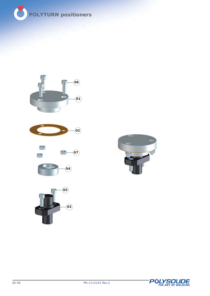













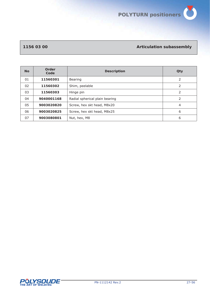

# **1156 03 00**

# **Articulation subassembly**

| <b>No</b> | <b>Order</b><br>Code | <b>Description</b>             | Qty |
|-----------|----------------------|--------------------------------|-----|
| 01        | 11560301             | <b>Bearing</b>                 | C   |
| 02        | 11560302             | Shim, peelable                 | 2   |
| 03        | 11560303             | Hinge pin                      | 2   |
| 04        | 9040001168           | Radial spherical plain bearing | 2   |
| 05        | 9003020820           | Screw, hex skt head, M8x20     | 4   |
| 06        | 9003020825           | Screw, hex skt head, M8x25     | 6   |
| 07        | 9003080801           | Nut, hex, M8                   | 6   |

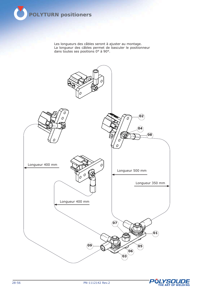

Les longueurs des câbles seront à ajuster au montage. La longueur des câbles permet de basculer le positionneur dans toutes ses positions 0° à 90°.



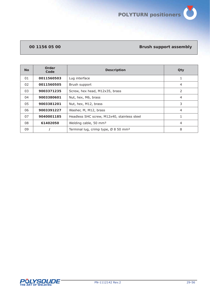

# **00 1156 05 00 Brush support assembly**

| <b>No</b> | Order<br>Code | <b>Description</b>                                           | Qty            |
|-----------|---------------|--------------------------------------------------------------|----------------|
| 01        | 0011560503    | Lug interface                                                | 1              |
| 02        | 0011560505    | Brush support                                                | $\overline{4}$ |
| 03        | 9003371235    | Screw, hex head, M12x35, brass                               | 2              |
| 04        | 9003380601    | Nut, hex, M6, brass                                          | $\overline{4}$ |
| 05        | 9003381201    | Nut, hex, M12, brass                                         | 3              |
| 06        | 9003391227    | Washer, M, M12, brass                                        | 4              |
| 07        | 9040001185    | Headless SHC screw, M12x40, stainless steel                  | 1              |
| 08        | 61402050      | Welding cable, 50 mm <sup>2</sup>                            | 4              |
| 09        |               | Terminal lug, crimp type, $\varnothing$ 8 50 mm <sup>2</sup> | 8              |

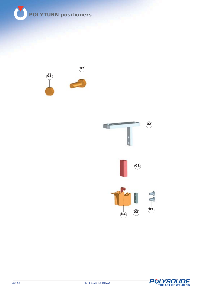





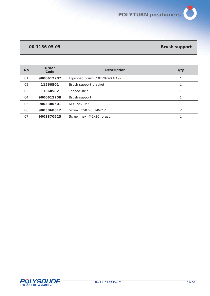

# **00 1156 05 05 Brush support**

| <b>No</b> | Order<br>Code | <b>Description</b>            | Qty           |
|-----------|---------------|-------------------------------|---------------|
| 01        | 9000612207    | Equipped brush, 10x20x40 M192 |               |
| 02        | 11560501      | Brush support bracket         |               |
| 03        | 11560502      | Tapped strip                  |               |
| 04        | 9000612208    | Brush support                 | ┸             |
| 05        | 9003380601    | Nut, hex, M6                  |               |
| 06        | 9003060612    | Screw, CSK 90° M6x12          | $\mathcal{P}$ |
| 07        | 9003370625    | Screw, hex, M6x20, brass      |               |

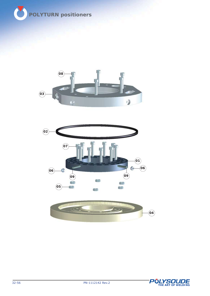







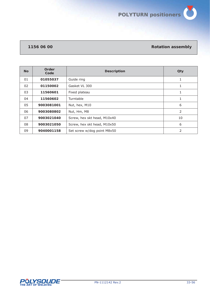

# **1156 06 00**

# **Rotation assembly**

| <b>No</b> | <b>Order</b><br>Code | <b>Description</b>          | <b>Qty</b>     |
|-----------|----------------------|-----------------------------|----------------|
| 01        | 01055037             | Guide ring                  | 1              |
| 02        | 01150002             | Gasket VL 300               | 1              |
| 03        | 11560601             | Fixed plateau               | 1              |
| 04        | 11560602             | Turntable                   | 1              |
| 05        | 9003081001           | Nut, hex, M10               | 6              |
| 06        | 9003080802           | Nut, Hm, M8                 | $\overline{2}$ |
| 07        | 9003021040           | Screw, hex skt head, M10x40 | 10             |
| 08        | 9003021050           | Screw, hex skt head, M10x50 | 6              |
| 09        | 9040001158           | Set screw w/dog point M8x50 | 2              |

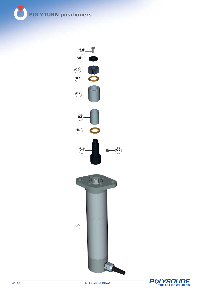



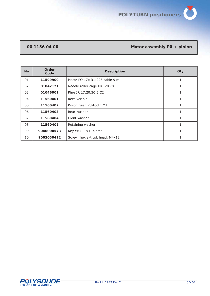

# **00 1156 04 00 Motor assembly P0 + pinion**

| <b>No</b> | <b>Order</b><br>Code | <b>Description</b>             | <b>Qty</b> |
|-----------|----------------------|--------------------------------|------------|
| 01        | 11599900             | Motor PO 17e R1:225 cable 9 m  | 1          |
| 02        | 01042121             | Needle roller cage HK, 20.-30  | 1          |
| 03        | 01046001             | Ring IR 17.20.30,5 C2          | 1          |
| 04        | 11560401             | Receiver pin                   | 1          |
| 05        | 11560402             | Pinion gear, 23-tooth M1       | 1          |
| 06        | 11560403             | Rear washer                    | 1          |
| 07        | 11560404             | Front washer                   | 1          |
| 08        | 11560405             | Retaining washer               | 1          |
| 09        | 9040000573           | Key W:4 L:8 H:4 steel          | 1          |
| 10        | 9003050412           | Screw, hex skt csk head, M4x12 | 1          |

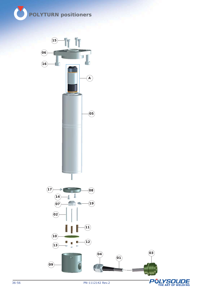

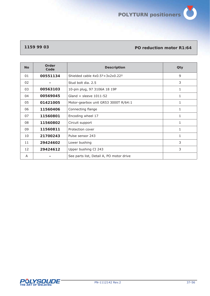

# **1159 99 03 PO reduction motor R1:64**

| <b>No</b> | Order<br>Code | <b>Description</b>                       | <b>Qty</b> |
|-----------|---------------|------------------------------------------|------------|
| 01        | 00551134      | Shielded cable $4x0.5^2+3x2x0.22^2$      | 9          |
| 02        |               | Stud bolt dia, 2.5                       | 3          |
| 03        | 00563103      | 10-pin plug, 97 3106A 18 19P             | 1          |
| 04        | 00569045      | Gland $+$ sleeve 1011-52                 | 1          |
| 05        | 01421005      | Motor-gearbox unit GR53 3000T R/64:1     | 1          |
| 06        | 11560406      | Connecting flange                        | 1          |
| 07        | 11560801      | Encoding wheel 17                        | 1          |
| 08        | 11560802      | Circuit support                          | 1          |
| 09        | 11560811      | Protection cover                         | 1          |
| 10        | 21700243      | Pulse sensor 243                         | 1          |
| 11        | 29424602      | Lower bushing                            | 3          |
| 12        | 29424612      | Upper bushing CI 243                     | 3          |
| A         |               | See parts list, Detail A, PO motor drive |            |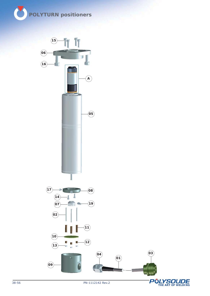

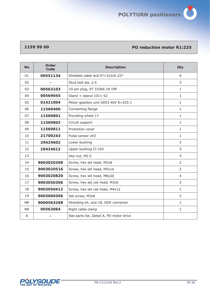

# **1159 99 00 PO reduction motor R1:225**

| <b>No</b> | <b>Order</b><br>Code | <b>Description</b>                                       | <b>Qty</b>     |
|-----------|----------------------|----------------------------------------------------------|----------------|
| 01        | 00551134             | Shielded cable 4x0.5 <sup>2</sup> +3x2x0.22 <sup>2</sup> | 9              |
| 02        |                      | Stud bolt dia. 2.5                                       | 3              |
| 03        | 00563103             | 10-pin plug, 97 3106A 18 19P                             | $\mathbf{1}$   |
| 04        | 00569045             | Gland + sleeve $1011 - 52$                               | $\mathbf{1}$   |
| 05        | 01421004             | Motor-gearbox unit GR53 40V R=225:1                      | $\mathbf{1}$   |
| 06        | 11560406             | Connecting flange                                        | $\mathbf{1}$   |
| 07        | 11560801             | Encoding wheel 17                                        | $\mathbf{1}$   |
| 08        | 11560802             | Circuit support                                          | $\mathbf{1}$   |
| 09        | 11560811             | Protection cover                                         | $\mathbf{1}$   |
| 10        | 21700243             | Pulse sensor 243                                         | $\mathbf{1}$   |
| 11        | 29424602             | Lower bushing                                            | 3              |
| 12        | 29424612             | Upper bushing CI 243                                     | 3              |
| 13        |                      | Hex nut, M2.5                                            | 3              |
| 14        | 9003020308           | Screw, hex skt head, M3x8                                | $\overline{2}$ |
| 15        | 9003020516           | Screw, hex skt head, M5x16                               | 2              |
| 16        | 9003020820           | Screw, hex skt head, M8x20                               | $\overline{4}$ |
| 17        | 9003050306           | Screw, hex skt csk head, M3x6                            | 3              |
| 18        | 9003050412           | Screw, hex skt csk head, M4x12                           | $\mathbf{1}$   |
| 19        | 9003000306           | Set screw, M3x6                                          | 2              |
| <b>NR</b> | 9000563288           | Shielding kit, size 18, DDK connector                    | $\mathbf{1}$   |
| <b>NR</b> | 00563064             | Right cable clamp                                        | 1              |
| A         |                      | See parts list, Detail A, PO motor drive                 |                |

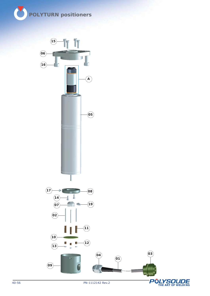

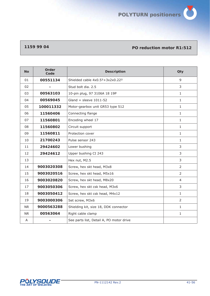

# **1159 99 04 PO reduction motor R1:512**

| <b>No</b> | Order<br>Code | <b>Description</b>                                       | <b>Qty</b>     |
|-----------|---------------|----------------------------------------------------------|----------------|
| 01        | 00551134      | Shielded cable 4x0.5 <sup>2</sup> +3x2x0.22 <sup>2</sup> | 9              |
| 02        |               | Stud bolt dia. 2.5                                       | 3              |
| 03        | 00563103      | 10-pin plug, 97 3106A 18 19P                             | $\mathbf{1}$   |
| 04        | 00569045      | Gland + sleeve $1011-52$                                 | $\mathbf{1}$   |
| 05        | 100011332     | Motor-gearbox unit GR53 type 512                         | $\mathbf{1}$   |
| 06        | 11560406      | Connecting flange                                        | 1              |
| 07        | 11560801      | Encoding wheel 17                                        | $\mathbf{1}$   |
| 08        | 11560802      | Circuit support                                          | $\mathbf{1}$   |
| 09        | 11560811      | Protection cover                                         | $\mathbf{1}$   |
| 10        | 21700243      | Pulse sensor 243                                         | $\mathbf{1}$   |
| 11        | 29424602      | Lower bushing                                            | 3              |
| 12        | 29424612      | Upper bushing CI 243                                     | 3              |
| 13        |               | Hex nut, M2.5                                            | 3              |
| 14        | 9003020308    | Screw, hex skt head, M3x8                                | 2              |
| 15        | 9003020516    | Screw, hex skt head, M5x16                               | 2              |
| 16        | 9003020820    | Screw, hex skt head, M8x20                               | $\overline{4}$ |
| 17        | 9003050306    | Screw, hex skt csk head, M3x6                            | 3              |
| 18        | 9003050412    | Screw, hex skt csk head, M4x12                           | $\mathbf{1}$   |
| 19        | 9003000306    | Set screw, M3x6                                          | $\overline{2}$ |
| <b>NR</b> | 9000563288    | Shielding kit, size 18, DDK connector                    | $\mathbf{1}$   |
| <b>NR</b> | 00563064      | Right cable clamp                                        | $\mathbf{1}$   |
| Α         |               | See parts list, Detail A, PO motor drive                 |                |

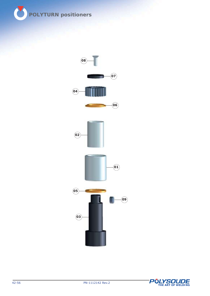



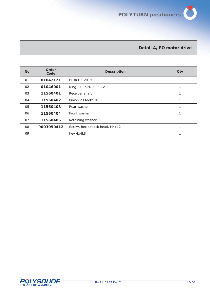

# **Detail A, PO motor drive**

| <b>No</b> | <b>Order</b><br>Code | <b>Description</b>             | <b>Qty</b>   |
|-----------|----------------------|--------------------------------|--------------|
| 01        | 01042121             | Bush HK 20-30                  |              |
| 02        | 01046001             | Ring IR 17.20.30,5 C2          | 1            |
| 03        | 11560401             | Receiver shaft                 | 1            |
| 04        | 11560402             | Pinion 23 teeth M1             | 1            |
| 05        | 11560403             | Rear washer                    | 1            |
| 06        | 11560404             | Front washer                   | 1            |
| 07        | 11560405             | Retaining washer               | 1            |
| 08        | 9003050412           | Screw, hex skt csk head, M4x12 | $\mathbf{1}$ |
| 09        |                      | Key 4x4L8                      |              |

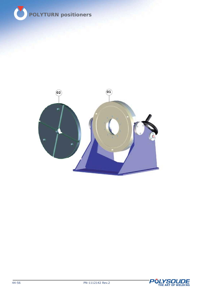



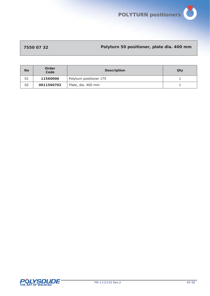# **7550 07 32 Polyturn 50 positioner, plate dia. 400 mm**

| <b>No</b> | Order<br>Code | <b>Description</b>      | Qty |
|-----------|---------------|-------------------------|-----|
| 01        | 11560000      | Polyturn positioner 175 |     |
| 02        | 0011560702    | Plate, dia. 400 mm      |     |

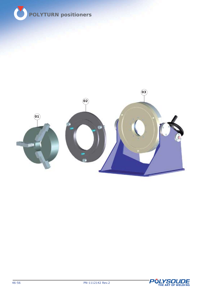



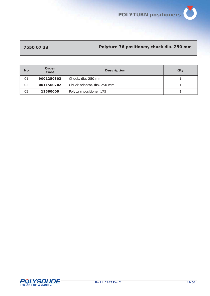# **7550 07 33 Polyturn 76 positioner, chuck dia. 250 mm**

| <b>No</b> | Order<br>Code | <b>Description</b>         | Qty |
|-----------|---------------|----------------------------|-----|
| 01        | 9001250303    | Chuck, dia. 250 mm         |     |
| 02        | 0011560702    | Chuck adaptor, dia. 250 mm |     |
| 03        | 11560000      | Polyturn positioner 175    |     |

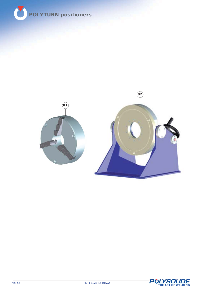



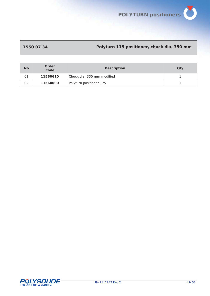

# **7550 07 34**

# **Polyturn 115 positioner, chuck dia. 350 mm**

| <b>No</b> | Order<br>Code | <b>Description</b>         | Qty |
|-----------|---------------|----------------------------|-----|
| 01        | 11560610      | Chuck dia, 350 mm modified |     |
| 02        | 11560000      | Polyturn positioner 175    |     |

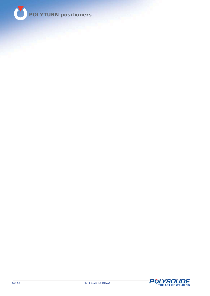

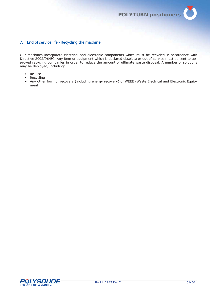

# 7. End of service life - Recycling the machine

Our machines incorporate electrical and electronic components which must be recycled in accordance with Directive 2002/96/EC. Any item of equipment which is declared obsolete or out of service must be sent to approved recycling companies in order to reduce the amount of ultimate waste disposal. A number of solutions may be deployed, including:

- Re-use
- Recycling
- Any other form of recovery (including energy recovery) of WEEE (Waste Electrical and Electronic Equipment).

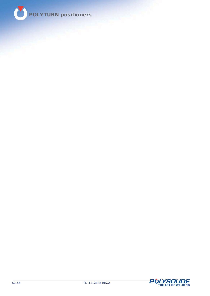

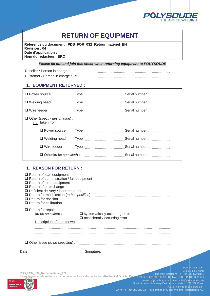

# **RETURN OF EQUIPMENT**

Référence du document : PDS\_FOR\_032\_Retour matériel\_EN **Révision n : 04 Date d'application : Nom du rédacteur : ERO** 

**Please fill out and join this sheet when returning equipment to POLYSOUDE** 

| Reseller / Person in charge :        |  |
|--------------------------------------|--|
| Customer / Person in charge / Tel. : |  |

# **1. EQUIPMENT RETURNED :**

| $\Box$ Power source                                    |                                                                            |                         |
|--------------------------------------------------------|----------------------------------------------------------------------------|-------------------------|
| $\Box$ Welding head                                    |                                                                            | Serial number :         |
| $\Box$ Wire feeder                                     | Type : _________________________________Serial number : __________________ |                         |
| $\Box$ Other (specify designation):<br>$L$ taken from: |                                                                            |                         |
| $\Box$ Power source                                    |                                                                            | Serial number :         |
| $\Box$ Welding head                                    |                                                                            | Serial number:          |
| $\Box$ Wire feeder                                     |                                                                            | Serial number:          |
| $\Box$ Other(to be specified) :                        |                                                                            | Serial number : www.com |

# **1. REASON FOR RETURN :**

| $\Box$ Return of loan equipment<br>$\Box$ Return of demonstration / fair equipment<br>$\Box$ Return of hired equipment<br>$\Box$ Return after exchange<br>$\Box$ Deficient delivery / incorrect order<br>$\Box$ Return for revision<br>$\Box$ Return for calibration | $\Box$ Return for modification ( <i>to be specified</i> ) :                  |
|----------------------------------------------------------------------------------------------------------------------------------------------------------------------------------------------------------------------------------------------------------------------|------------------------------------------------------------------------------|
| $\Box$ Return for repair<br>(to be specified):<br>Description of breakdown:                                                                                                                                                                                          | $\Box$ systematically occurring error<br>$\Box$ occasionally occurring error |
|                                                                                                                                                                                                                                                                      |                                                                              |
|                                                                                                                                                                                                                                                                      |                                                                              |

PDS\_FOR\_032\_Retour matériel\_EN

La seule version de référence de ce document est celle gérée sur «Référentiel Qualité\_De



Polysoude S.A.S.  $\mathbb{R}^n$  **R**  $\mathcal{M}^n$  Rev. **Example 2.1**  $\mathcal{M}^n$  Société par actions simplifiée, au capital de 4.105.45

cuments destanzianes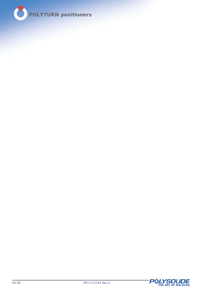

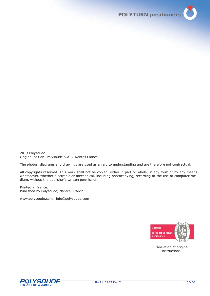

2013 Polysoude Original edition: Polysoude S.A.S. Nantes France.

The photos, diagrams and drawings are used as an aid to understanding and are therefore not contractual.

All copyrights reserved. This work shall not be copied, either in part or whole, in any form or by any means whatsoever, whether electronic or mechanical, including photocopying, recording or the use of computer medium, without the publisher's written permission.

Printed in France. Published by Polysoude, Nantes, France.

www.polysoude.com info@polysoude.com



Translation of original instructions